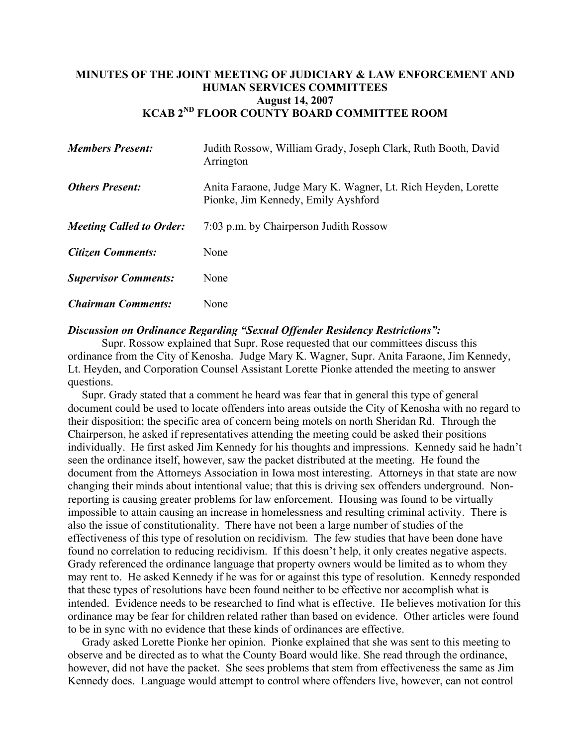## **MINUTES OF THE JOINT MEETING OF JUDICIARY & LAW ENFORCEMENT AND HUMAN SERVICES COMMITTEES August 14, 2007 KCAB 2ND FLOOR COUNTY BOARD COMMITTEE ROOM**

| <b>Members Present:</b>         | Judith Rossow, William Grady, Joseph Clark, Ruth Booth, David<br>Arrington                           |  |
|---------------------------------|------------------------------------------------------------------------------------------------------|--|
| <b>Others Present:</b>          | Anita Faraone, Judge Mary K. Wagner, Lt. Rich Heyden, Lorette<br>Pionke, Jim Kennedy, Emily Ayshford |  |
| <b>Meeting Called to Order:</b> | 7:03 p.m. by Chairperson Judith Rossow                                                               |  |
| <b>Citizen Comments:</b>        | None                                                                                                 |  |
| <b>Supervisor Comments:</b>     | None                                                                                                 |  |
| <b>Chairman Comments:</b>       | None                                                                                                 |  |

## *Discussion on Ordinance Regarding "Sexual Offender Residency Restrictions":*

Supr. Rossow explained that Supr. Rose requested that our committees discuss this ordinance from the City of Kenosha. Judge Mary K. Wagner, Supr. Anita Faraone, Jim Kennedy, Lt. Heyden, and Corporation Counsel Assistant Lorette Pionke attended the meeting to answer questions.

 Supr. Grady stated that a comment he heard was fear that in general this type of general document could be used to locate offenders into areas outside the City of Kenosha with no regard to their disposition; the specific area of concern being motels on north Sheridan Rd. Through the Chairperson, he asked if representatives attending the meeting could be asked their positions individually. He first asked Jim Kennedy for his thoughts and impressions. Kennedy said he hadn't seen the ordinance itself, however, saw the packet distributed at the meeting. He found the document from the Attorneys Association in Iowa most interesting. Attorneys in that state are now changing their minds about intentional value; that this is driving sex offenders underground. Nonreporting is causing greater problems for law enforcement. Housing was found to be virtually impossible to attain causing an increase in homelessness and resulting criminal activity. There is also the issue of constitutionality. There have not been a large number of studies of the effectiveness of this type of resolution on recidivism. The few studies that have been done have found no correlation to reducing recidivism. If this doesn't help, it only creates negative aspects. Grady referenced the ordinance language that property owners would be limited as to whom they may rent to. He asked Kennedy if he was for or against this type of resolution. Kennedy responded that these types of resolutions have been found neither to be effective nor accomplish what is intended. Evidence needs to be researched to find what is effective. He believes motivation for this ordinance may be fear for children related rather than based on evidence. Other articles were found to be in sync with no evidence that these kinds of ordinances are effective.

 Grady asked Lorette Pionke her opinion. Pionke explained that she was sent to this meeting to observe and be directed as to what the County Board would like. She read through the ordinance, however, did not have the packet. She sees problems that stem from effectiveness the same as Jim Kennedy does. Language would attempt to control where offenders live, however, can not control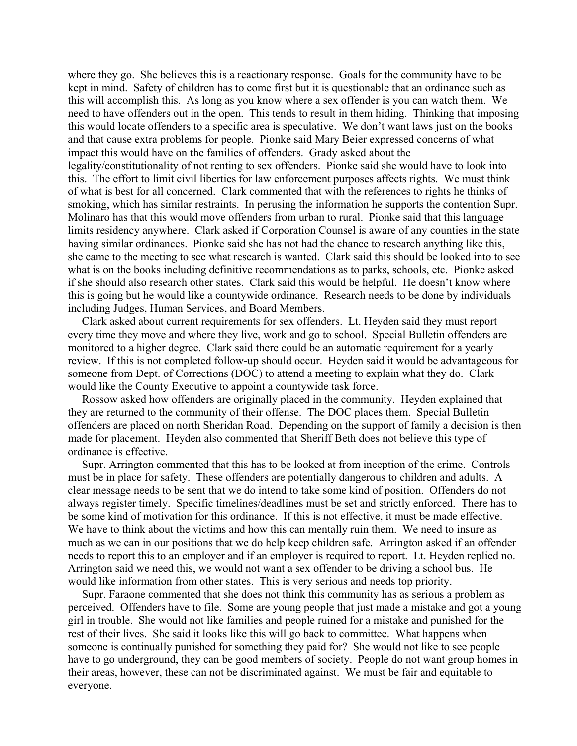where they go. She believes this is a reactionary response. Goals for the community have to be kept in mind. Safety of children has to come first but it is questionable that an ordinance such as this will accomplish this. As long as you know where a sex offender is you can watch them. We need to have offenders out in the open. This tends to result in them hiding. Thinking that imposing this would locate offenders to a specific area is speculative. We don't want laws just on the books and that cause extra problems for people. Pionke said Mary Beier expressed concerns of what impact this would have on the families of offenders. Grady asked about the legality/constitutionality of not renting to sex offenders. Pionke said she would have to look into this. The effort to limit civil liberties for law enforcement purposes affects rights. We must think of what is best for all concerned. Clark commented that with the references to rights he thinks of smoking, which has similar restraints. In perusing the information he supports the contention Supr. Molinaro has that this would move offenders from urban to rural. Pionke said that this language limits residency anywhere. Clark asked if Corporation Counsel is aware of any counties in the state having similar ordinances. Pionke said she has not had the chance to research anything like this, she came to the meeting to see what research is wanted. Clark said this should be looked into to see what is on the books including definitive recommendations as to parks, schools, etc. Pionke asked if she should also research other states. Clark said this would be helpful. He doesn't know where this is going but he would like a countywide ordinance. Research needs to be done by individuals including Judges, Human Services, and Board Members.

 Clark asked about current requirements for sex offenders. Lt. Heyden said they must report every time they move and where they live, work and go to school. Special Bulletin offenders are monitored to a higher degree. Clark said there could be an automatic requirement for a yearly review. If this is not completed follow-up should occur. Heyden said it would be advantageous for someone from Dept. of Corrections (DOC) to attend a meeting to explain what they do. Clark would like the County Executive to appoint a countywide task force.

 Rossow asked how offenders are originally placed in the community. Heyden explained that they are returned to the community of their offense. The DOC places them. Special Bulletin offenders are placed on north Sheridan Road. Depending on the support of family a decision is then made for placement. Heyden also commented that Sheriff Beth does not believe this type of ordinance is effective.

 Supr. Arrington commented that this has to be looked at from inception of the crime. Controls must be in place for safety. These offenders are potentially dangerous to children and adults. A clear message needs to be sent that we do intend to take some kind of position. Offenders do not always register timely. Specific timelines/deadlines must be set and strictly enforced. There has to be some kind of motivation for this ordinance. If this is not effective, it must be made effective. We have to think about the victims and how this can mentally ruin them. We need to insure as much as we can in our positions that we do help keep children safe. Arrington asked if an offender needs to report this to an employer and if an employer is required to report. Lt. Heyden replied no. Arrington said we need this, we would not want a sex offender to be driving a school bus. He would like information from other states. This is very serious and needs top priority.

 Supr. Faraone commented that she does not think this community has as serious a problem as perceived. Offenders have to file. Some are young people that just made a mistake and got a young girl in trouble. She would not like families and people ruined for a mistake and punished for the rest of their lives. She said it looks like this will go back to committee. What happens when someone is continually punished for something they paid for? She would not like to see people have to go underground, they can be good members of society. People do not want group homes in their areas, however, these can not be discriminated against. We must be fair and equitable to everyone.